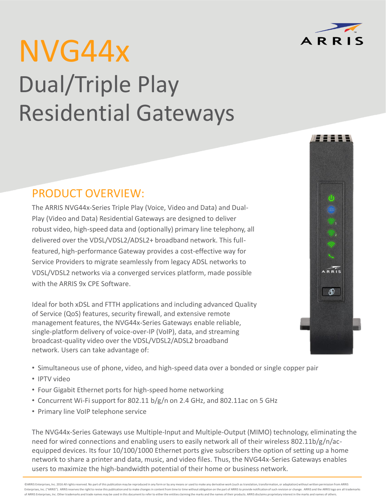# NVG44x Dual/Triple Play Residential Gateways

# PRODUCT OVERVIEW:

The ARRIS NVG44x-Series Triple Play (Voice, Video and Data) and Dual-Play (Video and Data) Residential Gateways are designed to deliver robust video, high-speed data and (optionally) primary line telephony, all delivered over the VDSL/VDSL2/ADSL2+ broadband network. This fullfeatured, high-performance Gateway provides a cost-effective way for Service Providers to migrate seamlessly from legacy ADSL networks to VDSL/VDSL2 networks via a converged services platform, made possible with the ARRIS 9x CPE Software.

Ideal for both xDSL and FTTH applications and including advanced Quality of Service (QoS) features, security firewall, and extensive remote management features, the NVG44x-Series Gateways enable reliable, single-platform delivery of voice-over-IP (VoIP), data, and streaming broadcast-quality video over the VDSL/VDSL2/ADSL2 broadband network. Users can take advantage of:

- Simultaneous use of phone, video, and high-speed data over a bonded or single copper pair
- IPTV video
- Four Gigabit Ethernet ports for high-speed home networking
- Concurrent Wi-Fi support for 802.11 b/g/n on 2.4 GHz, and 802.11ac on 5 GHz
- Primary line VoIP telephone service

The NVG44x-Series Gateways use Multiple-Input and Multiple-Output (MIMO) technology, eliminating the need for wired connections and enabling users to easily network all of their wireless 802.11b/g/n/acequipped devices. Its four 10/100/1000 Ethernet ports give subscribers the option of setting up a home network to share a printer and data, music, and video files. Thus, the NVG44x-Series Gateways enables users to maximize the high-bandwidth potential of their home or business network.



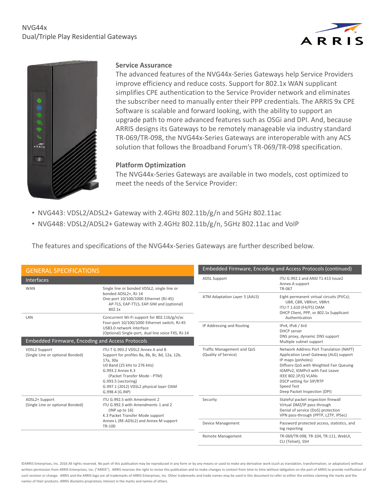## NVG44x Dual/Triple Play Residential Gateways





### **Service Assurance**

The advanced features of the NVG44x-Series Gateways help Service Providers improve efficiency and reduce costs. Support for 802.1x WAN supplicant simplifies CPE authentication to the Service Provider network and eliminates the subscriber need to manually enter their PPP credentials. The ARRIS 9x CPE Software is scalable and forward looking, with the ability to support an upgrade path to more advanced features such as OSGi and DPI. And, because ARRIS designs its Gateways to be remotely manageable via industry standard TR-069/TR-098, the NVG44x-Series Gateways are interoperable with any ACS solution that follows the Broadband Forum's TR-069/TR-098 specification.

### **Platform Optimization**

The NVG44x-Series Gateways are available in two models, cost optimized to meet the needs of the Service Provider:

- NVG443: VDSL2/ADSL2+ Gateway with 2.4GHz 802.11b/g/n and 5GHz 802.11ac
- NVG448: VDSL2/ADSL2+ Gateway with 2.4GHz 802.11b/g/n, 5GHz 802.11ac and VoIP

The features and specifications of the NVG44x-Series Gateways are further described below.

| <b>GENERAL SPECIFICATIONS</b>                            |                                                                                                                                                                                                                                                                          |                                                    | Embedded Firmware, Encoding and Access Protocols (continued)                                                                                                                                                                                                                           |
|----------------------------------------------------------|--------------------------------------------------------------------------------------------------------------------------------------------------------------------------------------------------------------------------------------------------------------------------|----------------------------------------------------|----------------------------------------------------------------------------------------------------------------------------------------------------------------------------------------------------------------------------------------------------------------------------------------|
| <b>Interfaces</b>                                        |                                                                                                                                                                                                                                                                          | <b>ADSL Support</b>                                | ITU G.992.1 and ANSI T1.413 Issue2<br>Annex A support                                                                                                                                                                                                                                  |
| <b>WAN</b>                                               | Single line or bonded VDSL2, single line or<br>bonded ADSL2+, RJ-14<br>One-port 10/100/1000 Ethernet (RJ-45)<br>AP-TLS, EAP-TTLS, EAP-SIM and (optional)<br>802.1x                                                                                                       | ATM Adaptation Layer 5 (AAL5)                      | TR-067<br>Eight permanent virtual circuits (PVCs);<br>UBR, CBR, VBRnrt, VBRrt<br>ITU-T 1.610 (F4/F5) OAM<br>DHCP Client, PPP, or 802.1x Supplicant                                                                                                                                     |
| LAN                                                      | Concurrent Wi-Fi support for 802.11b/g/n/ac<br>Four-port 10/100/1000 Ethernet switch, RJ-45<br>USB3.0 network interface<br>(Optional) Single-port, dual line voice FXS, RJ-14                                                                                            | IP Addressing and Routing                          | Authentication<br>IPv4, IPv6 / 6rd                                                                                                                                                                                                                                                     |
|                                                          |                                                                                                                                                                                                                                                                          |                                                    | DHCP server<br>DNS proxy, dynamic DNS support                                                                                                                                                                                                                                          |
| <b>Embedded Firmware, Encoding and Access Protocols</b>  |                                                                                                                                                                                                                                                                          |                                                    | Multiple subnet support                                                                                                                                                                                                                                                                |
| <b>VDSL2 Support</b><br>(Single Line or optional Bonded) | ITU-T G.993.2 VDSL2 Annex A and B<br>Support for profiles 8a, 8b, 8c, 8d, 12a, 12b,<br>17a, 30a<br>U0 Band (25 kHz to 276 kHz)<br>G.993.2 Annex K.3<br>(Packet Transfer Mode - PTM)<br>G.993.5 (vectoring)<br>G.997.1 (2012) VDSL2 physical layer OAM<br>G.998.4 (G.INP) | Traffic Management and QoS<br>(Quality of Service) | Network Address Port Translation (NAPT)<br>Application Level Gateway (ALG) support<br>IP maps (pinholes)<br>Diffserv QoS with Weighted Fair Queuing<br>IGMPv2, IGMPv3 with Fast Leave<br>IEEE 802.1P/Q VLANs<br>DSCP setting for SIP/RTP<br>Speed Test<br>Deep Packet Inspection (DPI) |
| ADSL2+ Support<br>(Single Line or optional Bonded)       | ITU G.992.5 with Amendment 2<br>ITU G.992.3 with Amendments 1 and 2<br>(INP up to 16)<br>K.3 Packet Transfer Mode support<br>Annex L (RE-ADSL2) and Annex M support<br>TR-100                                                                                            | Security                                           | Stateful packet inspection firewall<br>Virtual DMZ/IP pass-through<br>Denial of service (DoS) protection<br>VPN pass-through (PPTP, L2TP, IPSec)                                                                                                                                       |
|                                                          |                                                                                                                                                                                                                                                                          | <b>Device Management</b>                           | Password protected access, statistics, and<br>log reporting                                                                                                                                                                                                                            |
|                                                          |                                                                                                                                                                                                                                                                          | <b>Remote Management</b>                           | TR-069/TR-098, TR-104, TR-111, WebUI,<br>CLI (Telnet), SSH                                                                                                                                                                                                                             |

©ARRIS Enterprises, Inc. 2016 All rights reserved. No part of this publication may be reproduced in any form or by any means or used to make any derivative work (such as translation, transformation, or adaptation) without written permission from ARRIS Enterprises, Inc. ("ARRIS"). ARRIS reserves the right to revise this publication and to make changes in content from time to time without obligation on the part of ARRIS to provide notificatio such revision or change. ARRIS and the ARRIS logo are all trademarks of ARRIS Enterprises, Inc. Other trademarks and trade names may be used in this document to refer to either the entities claiming the marks and the names of their products. ARRIS disclaims proprietary interest in the marks and names of others.